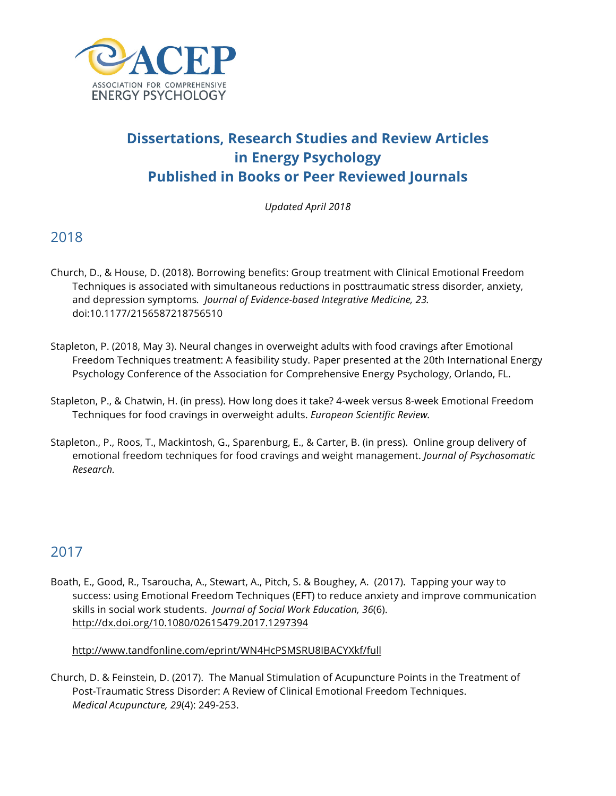

# **Dissertations, Research Studies and Review Articles in Energy Psychology Published in Books or Peer Reviewed Journals**

*Updated April 2018*

# 2018

- Church, D., & House, D. (2018). Borrowing benefits: Group treatment with Clinical Emotional Freedom Techniques is associated with simultaneous reductions in posttraumatic stress disorder, anxiety, and depression symptoms*. Journal of Evidence-based Integrative Medicine, 23.*  doi:10.1177/2156587218756510
- Stapleton, P. (2018, May 3). Neural changes in overweight adults with food cravings after Emotional Freedom Techniques treatment: A feasibility study. Paper presented at the 20th International Energy Psychology Conference of the Association for Comprehensive Energy Psychology, Orlando, FL.
- Stapleton, P., & Chatwin, H. (in press). How long does it take? 4-week versus 8-week Emotional Freedom Techniques for food cravings in overweight adults. *European Scientific Review.*
- Stapleton., P., Roos, T., Mackintosh, G., Sparenburg, E., & Carter, B. (in press). Online group delivery of emotional freedom techniques for food cravings and weight management. *Journal of Psychosomatic Research.*

# 2017

Boath, E., Good, R., Tsaroucha, A., Stewart, A., Pitch, S. & Boughey, A. (2017). Tapping your way to success: using Emotional Freedom Techniques (EFT) to reduce anxiety and improve communication skills in social work students. *Journal of Social Work Education, 36*(6). http://dx.doi.org/10.1080/02615479.2017.1297394

#### http://www.tandfonline.com/eprint/WN4HcPSMSRU8IBACYXkf/full

Church, D. & Feinstein, D. (2017). The Manual Stimulation of Acupuncture Points in the Treatment of Post-Traumatic Stress Disorder: A Review of Clinical Emotional Freedom Techniques. *Medical Acupuncture, 29*(4): 249-253.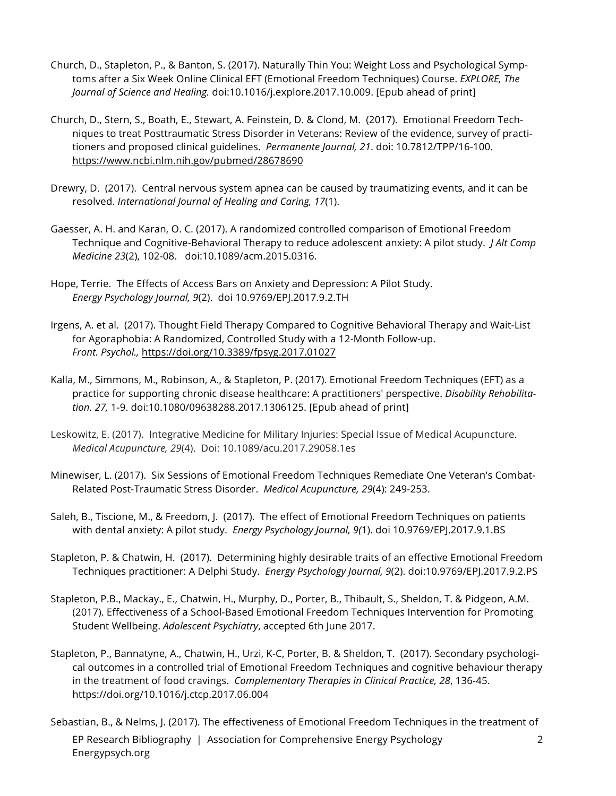- Church, D., Stapleton, P., & Banton, S. (2017). Naturally Thin You: Weight Loss and Psychological Symptoms after a Six Week Online Clinical EFT (Emotional Freedom Techniques) Course. *EXPLORE, The Journal of Science and Healing.* doi:10.1016/j.explore.2017.10.009. [Epub ahead of print]
- Church, D., Stern, S., Boath, E., Stewart, A. Feinstein, D. & Clond, M. (2017). Emotional Freedom Techniques to treat Posttraumatic Stress Disorder in Veterans: Review of the evidence, survey of practitioners and proposed clinical guidelines. *Permanente Journal, 21*. doi: 10.7812/TPP/16-100. https://www.ncbi.nlm.nih.gov/pubmed/28678690
- Drewry, D. (2017). Central nervous system apnea can be caused by traumatizing events, and it can be resolved. *International Journal of Healing and Caring, 17*(1).
- Gaesser, A. H. and Karan, O. C. (2017). A randomized controlled comparison of Emotional Freedom Technique and Cognitive-Behavioral Therapy to reduce adolescent anxiety: A pilot study. *J Alt Comp Medicine 23*(2), 102-08. doi:10.1089/acm.2015.0316.
- Hope, Terrie. The Effects of Access Bars on Anxiety and Depression: A Pilot Study. *Energy Psychology Journal, 9*(2). doi 10.9769/EPJ.2017.9.2.TH
- Irgens, A. et al. (2017). Thought Field Therapy Compared to Cognitive Behavioral Therapy and Wait-List for Agoraphobia: A Randomized, Controlled Study with a 12-Month Follow-up. *Front. Psychol.,* https://doi.org/10.3389/fpsyg.2017.01027
- Kalla, M., Simmons, M., Robinson, A., & Stapleton, P. (2017). Emotional Freedom Techniques (EFT) as a practice for supporting chronic disease healthcare: A practitioners' perspective. *Disability Rehabilitation. 27,* 1-9. doi:10.1080/09638288.2017.1306125. [Epub ahead of print]
- Leskowitz, E. (2017). Integrative Medicine for Military Injuries: Special Issue of Medical Acupuncture. *Medical Acupuncture, 29*(4). Doi: 10.1089/acu.2017.29058.1es
- Minewiser, L. (2017). Six Sessions of Emotional Freedom Techniques Remediate One Veteran's Combat-Related Post-Traumatic Stress Disorder. *Medical Acupuncture, 29*(4): 249-253.
- Saleh, B., Tiscione, M., & Freedom, J. (2017). The effect of Emotional Freedom Techniques on patients with dental anxiety: A pilot study. *Energy Psychology Journal, 9(*1). doi 10.9769/EPJ.2017.9.1.BS
- Stapleton, P. & Chatwin, H. (2017). Determining highly desirable traits of an effective Emotional Freedom Techniques practitioner: A Delphi Study. *Energy Psychology Journal, 9*(2). doi:10.9769/EPJ.2017.9.2.PS
- Stapleton, P.B., Mackay., E., Chatwin, H., Murphy, D., Porter, B., Thibault, S., Sheldon, T. & Pidgeon, A.M. (2017). Effectiveness of a School-Based Emotional Freedom Techniques Intervention for Promoting Student Wellbeing. *Adolescent Psychiatry*, accepted 6th June 2017.
- Stapleton, P., Bannatyne, A., Chatwin, H., Urzi, K-C, Porter, B. & Sheldon, T. (2017). Secondary psychological outcomes in a controlled trial of Emotional Freedom Techniques and cognitive behaviour therapy in the treatment of food cravings. *Complementary Therapies in Clinical Practice, 28*, 136-45. https://doi.org/10.1016/j.ctcp.2017.06.004
- EP Research Bibliography | Association for Comprehensive Energy Psychology Energypsych.org 2 Sebastian, B., & Nelms, J. (2017). The effectiveness of Emotional Freedom Techniques in the treatment of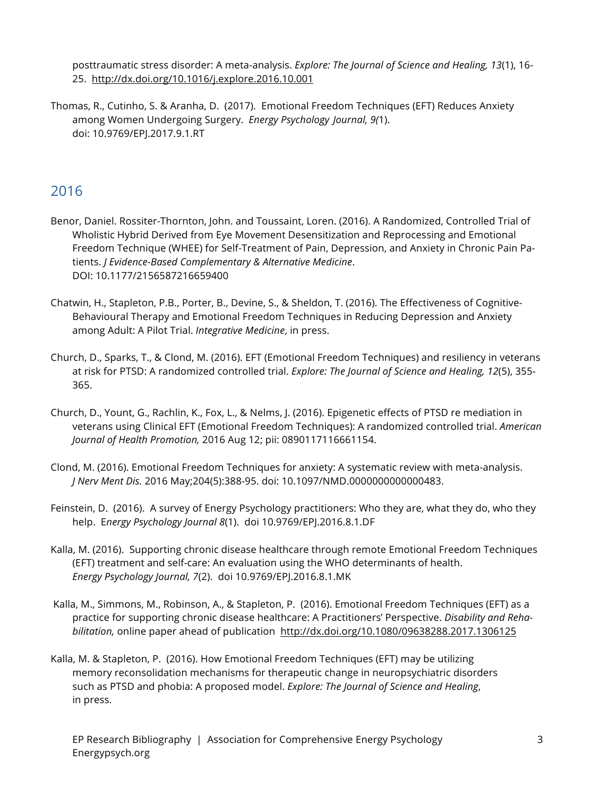posttraumatic stress disorder: A meta-analysis. *Explore: The Journal of Science and Healing, 13*(1), 16- 25. http://dx.doi.org/10.1016/j.explore.2016.10.001

Thomas, R., Cutinho, S. & Aranha, D. (2017). Emotional Freedom Techniques (EFT) Reduces Anxiety among Women Undergoing Surgery. *Energy Psychology Journal, 9(*1). doi: 10.9769/EPJ.2017.9.1.RT

- Benor, Daniel. Rossiter-Thornton, John. and Toussaint, Loren. (2016). A Randomized, Controlled Trial of Wholistic Hybrid Derived from Eye Movement Desensitization and Reprocessing and Emotional Freedom Technique (WHEE) for Self-Treatment of Pain, Depression, and Anxiety in Chronic Pain Patients. *J Evidence-Based Complementary & Alternative Medicine*. DOI: 10.1177/2156587216659400
- Chatwin, H., Stapleton, P.B., Porter, B., Devine, S., & Sheldon, T. (2016). The Effectiveness of Cognitive-Behavioural Therapy and Emotional Freedom Techniques in Reducing Depression and Anxiety among Adult: A Pilot Trial. *Integrative Medicine*, in press.
- Church, D., Sparks, T., & Clond, M. (2016). EFT (Emotional Freedom Techniques) and resiliency in veterans at risk for PTSD: A randomized controlled trial. *Explore: The Journal of Science and Healing, 12*(5), 355- 365.
- Church, D., Yount, G., Rachlin, K., Fox, L., & Nelms, J. (2016). Epigenetic effects of PTSD re mediation in veterans using Clinical EFT (Emotional Freedom Techniques): A randomized controlled trial. *American Journal of Health Promotion,* 2016 Aug 12; pii: 0890117116661154.
- Clond, M. (2016). Emotional Freedom Techniques for anxiety: A systematic review with meta-analysis. *J Nerv Ment Dis.* 2016 May;204(5):388-95. doi: 10.1097/NMD.0000000000000483.
- Feinstein, D. (2016). A survey of Energy Psychology practitioners: Who they are, what they do, who they help. E*nergy Psychology Journal 8*(1). doi 10.9769/EPJ.2016.8.1.DF
- Kalla, M. (2016). Supporting chronic disease healthcare through remote Emotional Freedom Techniques (EFT) treatment and self-care: An evaluation using the WHO determinants of health. *Energy Psychology Journal, 7*(2). doi 10.9769/EPJ.2016.8.1.MK
- Kalla, M., Simmons, M., Robinson, A., & Stapleton, P. (2016). Emotional Freedom Techniques (EFT) as a practice for supporting chronic disease healthcare: A Practitioners' Perspective. *Disability and Rehabilitation,* online paper ahead of publication http://dx.doi.org/10.1080/09638288.2017.1306125
- Kalla, M. & Stapleton, P. (2016). How Emotional Freedom Techniques (EFT) may be utilizing memory reconsolidation mechanisms for therapeutic change in neuropsychiatric disorders such as PTSD and phobia: A proposed model. *Explore: The Journal of Science and Healing*, in press.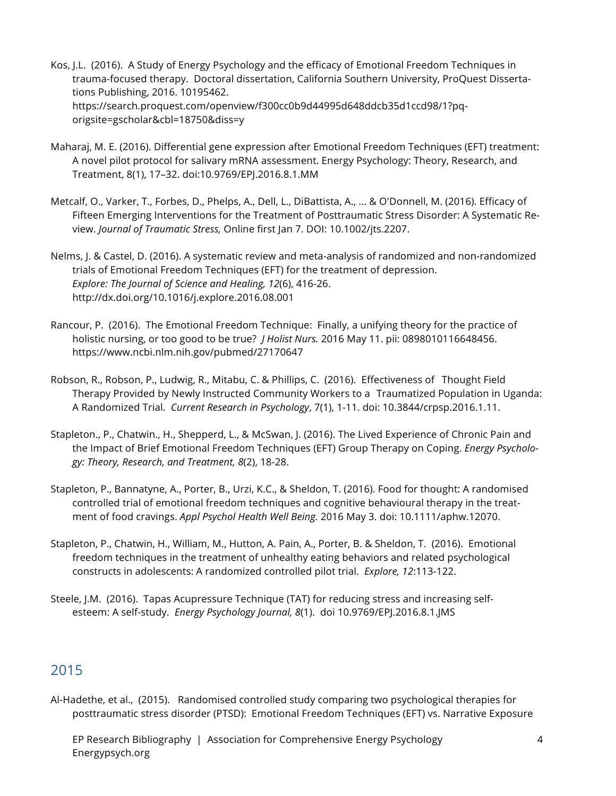- Kos, J.L. (2016). A Study of Energy Psychology and the efficacy of Emotional Freedom Techniques in trauma-focused therapy. Doctoral dissertation, California Southern University, ProQuest Dissertations Publishing, 2016. 10195462. https://search.proquest.com/openview/f300cc0b9d44995d648ddcb35d1ccd98/1?pqorigsite=gscholar&cbl=18750&diss=y
- Maharaj, M. E. (2016). Differential gene expression after Emotional Freedom Techniques (EFT) treatment: A novel pilot protocol for salivary mRNA assessment. Energy Psychology: Theory, Research, and Treatment, 8(1), 17–32. doi:10.9769/EPJ.2016.8.1.MM
- Metcalf, O., Varker, T., Forbes, D., Phelps, A., Dell, L., DiBattista, A., ... & O'Donnell, M. (2016). Efficacy of Fifteen Emerging Interventions for the Treatment of Posttraumatic Stress Disorder: A Systematic Review. *Journal of Traumatic Stress,* Online first Jan 7. DOI: 10.1002/jts.2207.
- Nelms, J. & Castel, D. (2016). A systematic review and meta-analysis of randomized and non-randomized trials of Emotional Freedom Techniques (EFT) for the treatment of depression. *Explore: The Journal of Science and Healing, 12*(6), 416-26. http://dx.doi.org/10.1016/j.explore.2016.08.001
- Rancour, P. (2016). The Emotional Freedom Technique: Finally, a unifying theory for the practice of holistic nursing, or too good to be true? *J Holist Nurs.* 2016 May 11. pii: 0898010116648456. https://www.ncbi.nlm.nih.gov/pubmed/27170647
- Robson, R., Robson, P., Ludwig, R., Mitabu, C. & Phillips, C. (2016). Effectiveness of Thought Field Therapy Provided by Newly Instructed Community Workers to a Traumatized Population in Uganda: A Randomized Trial. *Current Research in Psychology*, 7(1), 1-11. doi: 10.3844/crpsp.2016.1.11.
- Stapleton., P., Chatwin., H., Shepperd, L., & McSwan, J. (2016). The Lived Experience of Chronic Pain and the Impact of Brief Emotional Freedom Techniques (EFT) Group Therapy on Coping. *Energy Psychology: Theory, Research, and Treatment, 8*(2), 18-28.
- Stapleton, P., Bannatyne, A., Porter, B., Urzi, K.C., & Sheldon, T. (2016). Food for thought: A randomised controlled trial of emotional freedom techniques and cognitive behavioural therapy in the treatment of food cravings. *Appl Psychol Health Well Being.* 2016 May 3. doi: 10.1111/aphw.12070.
- Stapleton, P., Chatwin, H., William, M., Hutton, A. Pain, A., Porter, B. & Sheldon, T. (2016). Emotional freedom techniques in the treatment of unhealthy eating behaviors and related psychological constructs in adolescents: A randomized controlled pilot trial. *Explore, 12*:113-122.
- Steele, J.M. (2016). Tapas Acupressure Technique (TAT) for reducing stress and increasing selfesteem: A self-study. *Energy Psychology Journal, 8*(1). doi 10.9769/EPJ.2016.8.1.JMS

Al-Hadethe, et al., (2015). Randomised controlled study comparing two psychological therapies for posttraumatic stress disorder (PTSD): Emotional Freedom Techniques (EFT) vs. Narrative Exposure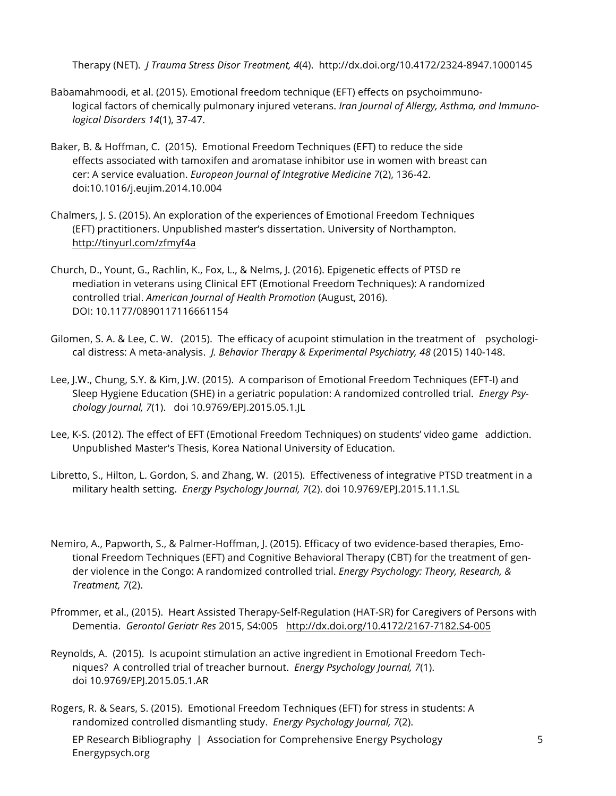Therapy (NET). *J Trauma Stress Disor Treatment, 4*(4). http://dx.doi.org/10.4172/2324-8947.1000145

- Babamahmoodi, et al. (2015). Emotional freedom technique (EFT) effects on psychoimmunological factors of chemically pulmonary injured veterans. *Iran Journal of Allergy, Asthma, and Immunological Disorders 14*(1), 37-47.
- Baker, B. & Hoffman, C. (2015). Emotional Freedom Techniques (EFT) to reduce the side effects associated with tamoxifen and aromatase inhibitor use in women with breast can cer: A service evaluation. *European Journal of Integrative Medicine 7*(2), 136-42. doi:10.1016/j.eujim.2014.10.004
- Chalmers, J. S. (2015). An exploration of the experiences of Emotional Freedom Techniques (EFT) practitioners. Unpublished master's dissertation. University of Northampton. http://tinyurl.com/zfmyf4a
- Church, D., Yount, G., Rachlin, K., Fox, L., & Nelms, J. (2016). Epigenetic effects of PTSD re mediation in veterans using Clinical EFT (Emotional Freedom Techniques): A randomized controlled trial. *American Journal of Health Promotion* (August, 2016). DOI: 10.1177/0890117116661154
- Gilomen, S. A. & Lee, C. W. (2015). The efficacy of acupoint stimulation in the treatment of psychological distress: A meta-analysis. *J. Behavior Therapy & Experimental Psychiatry, 48* (2015) 140-148.
- Lee, J.W., Chung, S.Y. & Kim, J.W. (2015). A comparison of Emotional Freedom Techniques (EFT-I) and Sleep Hygiene Education (SHE) in a geriatric population: A randomized controlled trial. *Energy Psychology Journal, 7*(1). doi 10.9769/EPJ.2015.05.1.JL
- Lee, K-S. (2012). The effect of EFT (Emotional Freedom Techniques) on students' video game addiction. Unpublished Master's Thesis, Korea National University of Education.
- Libretto, S., Hilton, L. Gordon, S. and Zhang, W. (2015). Effectiveness of integrative PTSD treatment in a military health setting. *Energy Psychology Journal, 7*(2). doi 10.9769/EPJ.2015.11.1.SL
- Nemiro, A., Papworth, S., & Palmer-Hoffman, J. (2015). Efficacy of two evidence-based therapies, Emotional Freedom Techniques (EFT) and Cognitive Behavioral Therapy (CBT) for the treatment of gender violence in the Congo: A randomized controlled trial. *Energy Psychology: Theory, Research, & Treatment, 7*(2).
- Pfrommer, et al., (2015). Heart Assisted Therapy-Self-Regulation (HAT-SR) for Caregivers of Persons with Dementia. *Gerontol Geriatr Res* 2015, S4:005 http://dx.doi.org/10.4172/2167-7182.S4-005
- Reynolds, A. (2015). Is acupoint stimulation an active ingredient in Emotional Freedom Techniques? A controlled trial of treacher burnout. *Energy Psychology Journal, 7*(1). doi 10.9769/EPJ.2015.05.1.AR
- Rogers, R. & Sears, S. (2015). Emotional Freedom Techniques (EFT) for stress in students: A randomized controlled dismantling study. *Energy Psychology Journal, 7*(2).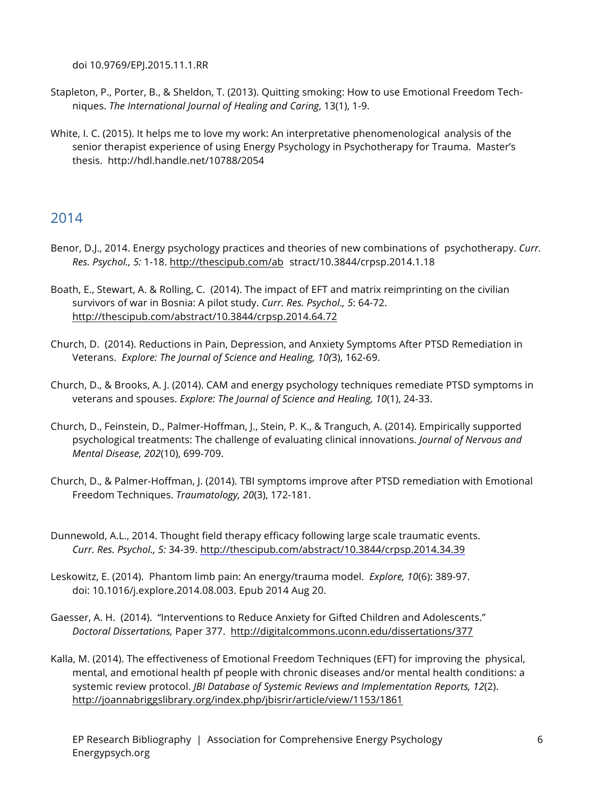doi 10.9769/EPJ.2015.11.1.RR

- Stapleton, P., Porter, B., & Sheldon, T. (2013). Quitting smoking: How to use Emotional Freedom Techniques. *The International Journal of Healing and Caring*, 13(1), 1-9.
- White, I. C. (2015). It helps me to love my work: An interpretative phenomenological analysis of the senior therapist experience of using Energy Psychology in Psychotherapy for Trauma. Master's thesis. http://hdl.handle.net/10788/2054

- Benor, D.J., 2014. Energy psychology practices and theories of new combinations of psychotherapy. *Curr. Res. Psychol., 5:* 1-18. http://thescipub.com/ab stract/10.3844/crpsp.2014.1.18
- Boath, E., Stewart, A. & Rolling, C. (2014). The impact of EFT and matrix reimprinting on the civilian survivors of war in Bosnia: A pilot study. *Curr. Res. Psychol., 5*: 64-72. http://thescipub.com/abstract/10.3844/crpsp.2014.64.72
- Church, D. (2014). Reductions in Pain, Depression, and Anxiety Symptoms After PTSD Remediation in Veterans. *Explore: The Journal of Science and Healing, 10(*3), 162-69.
- Church, D., & Brooks, A. J. (2014). CAM and energy psychology techniques remediate PTSD symptoms in veterans and spouses. *Explore: The Journal of Science and Healing, 10*(1), 24-33.
- Church, D., Feinstein, D., Palmer-Hoffman, J., Stein, P. K., & Tranguch, A. (2014). Empirically supported psychological treatments: The challenge of evaluating clinical innovations. *Journal of Nervous and Mental Disease, 202*(10), 699-709.
- Church, D., & Palmer-Hoffman, J. (2014). TBI symptoms improve after PTSD remediation with Emotional Freedom Techniques. *Traumatology, 20*(3), 172-181.
- Dunnewold, A.L., 2014. Thought field therapy efficacy following large scale traumatic events. *Curr. Res. Psychol., 5:* 34-39. http://thescipub.com/abstract/10.3844/crpsp.2014.34.39
- Leskowitz, E. (2014). Phantom limb pain: An energy/trauma model. *Explore, 10*(6): 389-97. doi: 10.1016/j.explore.2014.08.003. Epub 2014 Aug 20.
- Gaesser, A. H. (2014). "Interventions to Reduce Anxiety for Gifted Children and Adolescents." *Doctoral Dissertations,* Paper 377. http://digitalcommons.uconn.edu/dissertations/377
- Kalla, M. (2014). The effectiveness of Emotional Freedom Techniques (EFT) for improving the physical, mental, and emotional health pf people with chronic diseases and/or mental health conditions: a systemic review protocol. *JBI Database of Systemic Reviews and Implementation Reports, 12*(2). http://joannabriggslibrary.org/index.php/jbisrir/article/view/1153/1861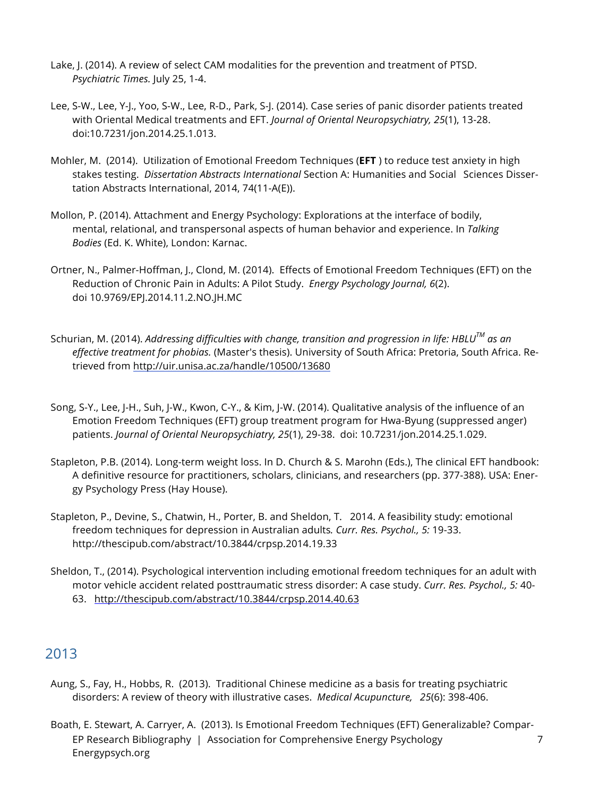- Lake, J. (2014). A review of select CAM modalities for the prevention and treatment of PTSD. *Psychiatric Times.* July 25, 1-4.
- Lee, S-W., Lee, Y-J., Yoo, S-W., Lee, R-D., Park, S-J. (2014). Case series of panic disorder patients treated with Oriental Medical treatments and EFT. *Journal of Oriental Neuropsychiatry, 25*(1), 13-28. doi:10.7231/jon.2014.25.1.013.
- Mohler, M. (2014). Utilization of Emotional Freedom Techniques (**EFT** ) to reduce test anxiety in high stakes testing. *Dissertation Abstracts International* Section A: Humanities and Social Sciences Dissertation Abstracts International, 2014, 74(11-A(E)).
- Mollon, P. (2014). Attachment and Energy Psychology: Explorations at the interface of bodily, mental, relational, and transpersonal aspects of human behavior and experience. In *Talking Bodies* (Ed. K. White), London: Karnac.
- Ortner, N., Palmer-Hoffman, J., Clond, M. (2014). Effects of Emotional Freedom Techniques (EFT) on the Reduction of Chronic Pain in Adults: A Pilot Study. *Energy Psychology Journal, 6*(2). doi 10.9769/EPJ.2014.11.2.NO.JH.MC
- Schurian, M. (2014). *Addressing difficulties with change, transition and progression in life: HBLUTM as an effective treatment for phobias.* (Master's thesis). University of South Africa: Pretoria, South Africa. Retrieved from http://uir.unisa.ac.za/handle/10500/13680
- Song, S-Y., Lee, J-H., Suh, J-W., Kwon, C-Y., & Kim, J-W. (2014). Qualitative analysis of the influence of an Emotion Freedom Techniques (EFT) group treatment program for Hwa-Byung (suppressed anger) patients. *Journal of Oriental Neuropsychiatry, 25*(1), 29-38. doi: 10.7231/jon.2014.25.1.029.
- Stapleton, P.B. (2014). Long-term weight loss. In D. Church & S. Marohn (Eds.), The clinical EFT handbook: A definitive resource for practitioners, scholars, clinicians, and researchers (pp. 377-388). USA: Energy Psychology Press (Hay House).
- Stapleton, P., Devine, S., Chatwin, H., Porter, B. and Sheldon, T. 2014. A feasibility study: emotional freedom techniques for depression in Australian adults*. Curr. Res. Psychol., 5:* 19-33. http://thescipub.com/abstract/10.3844/crpsp.2014.19.33
- Sheldon, T., (2014). Psychological intervention including emotional freedom techniques for an adult with motor vehicle accident related posttraumatic stress disorder: A case study. *Curr. Res. Psychol., 5:* 40- 63. http://thescipub.com/abstract/10.3844/crpsp.2014.40.63

- Aung, S., Fay, H., Hobbs, R. (2013). Traditional Chinese medicine as a basis for treating psychiatric disorders: A review of theory with illustrative cases. *Medical Acupuncture, 25*(6): 398-406.
- EP Research Bibliography | Association for Comprehensive Energy Psychology Energypsych.org 7 Boath, E. Stewart, A. Carryer, A. (2013). Is Emotional Freedom Techniques (EFT) Generalizable? Compar-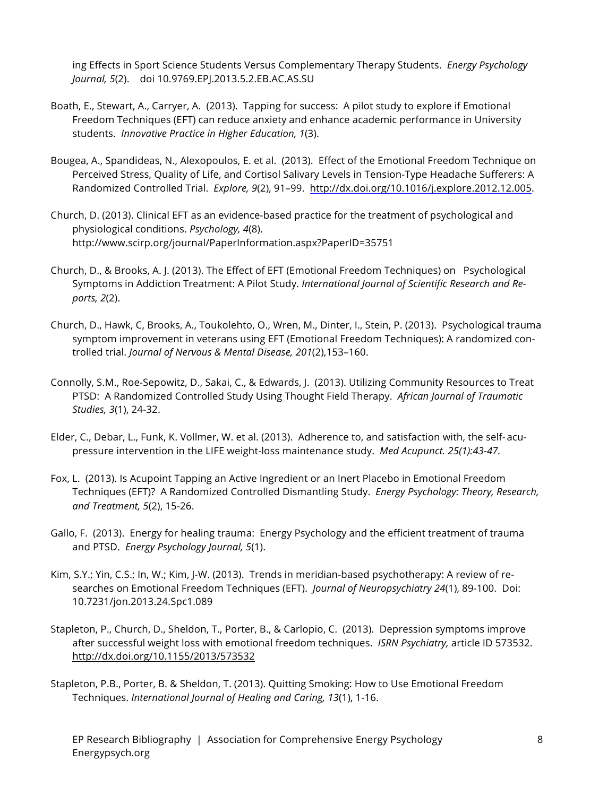ing Effects in Sport Science Students Versus Complementary Therapy Students. *Energy Psychology Journal, 5*(2). doi 10.9769.EPJ.2013.5.2.EB.AC.AS.SU

- Boath, E., Stewart, A., Carryer, A. (2013). Tapping for success: A pilot study to explore if Emotional Freedom Techniques (EFT) can reduce anxiety and enhance academic performance in University students. *Innovative Practice in Higher Education, 1*(3).
- Bougea, A., Spandideas, N., Alexopoulos, E. et al. (2013). Effect of the Emotional Freedom Technique on Perceived Stress, Quality of Life, and Cortisol Salivary Levels in Tension-Type Headache Sufferers: A Randomized Controlled Trial. *Explore, 9*(2), 91–99. http://dx.doi.org/10.1016/j.explore.2012.12.005.
- Church, D. (2013). Clinical EFT as an evidence-based practice for the treatment of psychological and physiological conditions. *Psychology, 4*(8). http://www.scirp.org/journal/PaperInformation.aspx?PaperID=35751
- Church, D., & Brooks, A. J. (2013). The Effect of EFT (Emotional Freedom Techniques) on Psychological Symptoms in Addiction Treatment: A Pilot Study. *International Journal of Scientific Research and Reports, 2*(2).
- Church, D., Hawk, C, Brooks, A., Toukolehto, O., Wren, M., Dinter, I., Stein, P. (2013). Psychological trauma symptom improvement in veterans using EFT (Emotional Freedom Techniques): A randomized controlled trial. *Journal of Nervous & Mental Disease, 201*(2),153–160.
- Connolly, S.M., Roe-Sepowitz, D., Sakai, C., & Edwards, J. (2013). Utilizing Community Resources to Treat PTSD: A Randomized Controlled Study Using Thought Field Therapy. *African Journal of Traumatic Studies, 3*(1), 24-32.
- Elder, C., Debar, L., Funk, K. Vollmer, W. et al. (2013). Adherence to, and satisfaction with, the self- acupressure intervention in the LIFE weight-loss maintenance study. *Med Acupunct. 25(1):43-47.*
- Fox, L. (2013). Is Acupoint Tapping an Active Ingredient or an Inert Placebo in Emotional Freedom Techniques (EFT)? A Randomized Controlled Dismantling Study. *Energy Psychology: Theory, Research, and Treatment, 5*(2), 15-26.
- Gallo, F. (2013). Energy for healing trauma: Energy Psychology and the efficient treatment of trauma and PTSD. *Energy Psychology Journal, 5*(1).
- Kim, S.Y.; Yin, C.S.; In, W.; Kim, J-W. (2013). Trends in meridian-based psychotherapy: A review of researches on Emotional Freedom Techniques (EFT). *Journal of Neuropsychiatry 24*(1), 89-100. Doi: 10.7231/jon.2013.24.Spc1.089
- Stapleton, P., Church, D., Sheldon, T., Porter, B., & Carlopio, C. (2013). Depression symptoms improve after successful weight loss with emotional freedom techniques. *ISRN Psychiatry,* article ID 573532. http://dx.doi.org/10.1155/2013/573532
- Stapleton, P.B., Porter, B. & Sheldon, T. (2013). Quitting Smoking: How to Use Emotional Freedom Techniques. *International Journal of Healing and Caring, 13*(1), 1-16.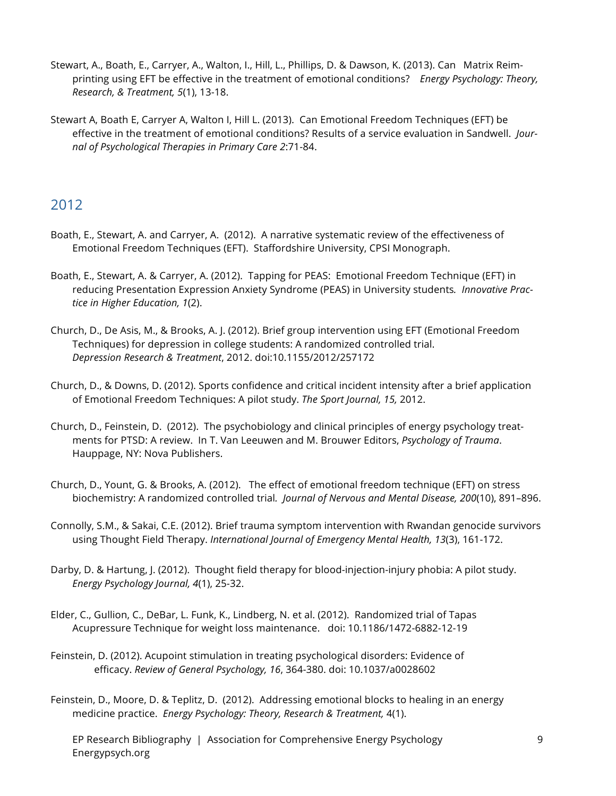- Stewart, A., Boath, E., Carryer, A., Walton, I., Hill, L., Phillips, D. & Dawson, K. (2013). Can Matrix Reimprinting using EFT be effective in the treatment of emotional conditions? *Energy Psychology: Theory, Research, & Treatment, 5*(1), 13-18.
- Stewart A, Boath E, Carryer A, Walton I, Hill L. (2013). Can Emotional Freedom Techniques (EFT) be effective in the treatment of emotional conditions? Results of a service evaluation in Sandwell. *Journal of Psychological Therapies in Primary Care 2*:71-84.

- Boath, E., Stewart, A. and Carryer, A. (2012). A narrative systematic review of the effectiveness of Emotional Freedom Techniques (EFT). Staffordshire University, CPSI Monograph.
- Boath, E., Stewart, A. & Carryer, A. (2012). Tapping for PEAS: Emotional Freedom Technique (EFT) in reducing Presentation Expression Anxiety Syndrome (PEAS) in University students*. Innovative Practice in Higher Education, 1*(2).
- Church, D., De Asis, M., & Brooks, A. J. (2012). Brief group intervention using EFT (Emotional Freedom Techniques) for depression in college students: A randomized controlled trial. *Depression Research & Treatment*, 2012. doi:10.1155/2012/257172
- Church, D., & Downs, D. (2012). Sports confidence and critical incident intensity after a brief application of Emotional Freedom Techniques: A pilot study. *The Sport Journal, 15,* 2012.
- Church, D., Feinstein, D. (2012). The psychobiology and clinical principles of energy psychology treatments for PTSD: A review. In T. Van Leeuwen and M. Brouwer Editors, *Psychology of Trauma*. Hauppage, NY: Nova Publishers.
- Church, D., Yount, G. & Brooks, A. (2012). The effect of emotional freedom technique (EFT) on stress biochemistry: A randomized controlled trial*. Journal of Nervous and Mental Disease, 200*(10), 891–896.
- Connolly, S.M., & Sakai, C.E. (2012). Brief trauma symptom intervention with Rwandan genocide survivors using Thought Field Therapy. *International Journal of Emergency Mental Health, 13*(3), 161-172.
- Darby, D. & Hartung, J. (2012). Thought field therapy for blood-injection-injury phobia: A pilot study. *Energy Psychology Journal, 4*(1), 25-32.
- Elder, C., Gullion, C., DeBar, L. Funk, K., Lindberg, N. et al. (2012). Randomized trial of Tapas Acupressure Technique for weight loss maintenance. doi: 10.1186/1472-6882-12-19
- Feinstein, D. (2012). Acupoint stimulation in treating psychological disorders: Evidence of efficacy. *Review of General Psychology, 16*, 364-380. doi: 10.1037/a0028602
- Feinstein, D., Moore, D. & Teplitz, D. (2012). Addressing emotional blocks to healing in an energy medicine practice. *Energy Psychology: Theory, Research & Treatment,* 4(1).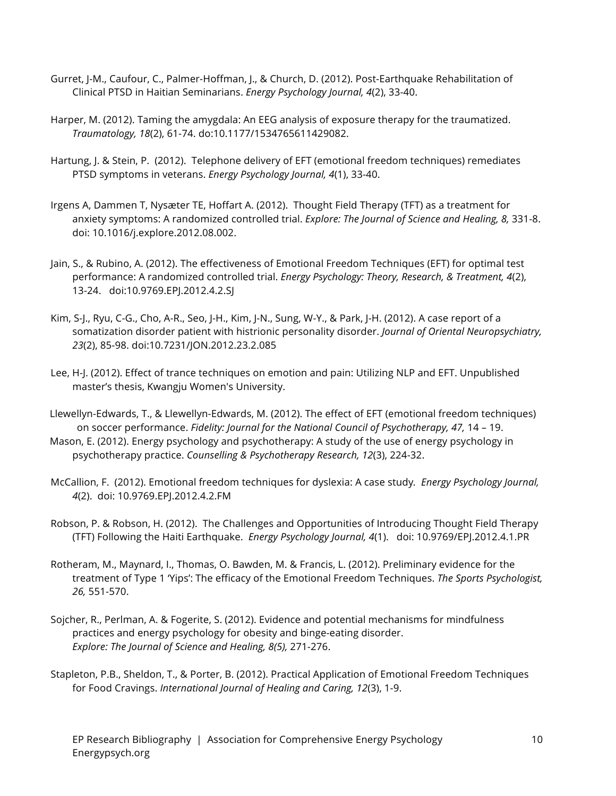- Gurret, J-M., Caufour, C., Palmer-Hoffman, J., & Church, D. (2012). Post-Earthquake Rehabilitation of Clinical PTSD in Haitian Seminarians. *Energy Psychology Journal, 4*(2), 33-40.
- Harper, M. (2012). Taming the amygdala: An EEG analysis of exposure therapy for the traumatized. *Traumatology, 18*(2), 61-74. do:10.1177/1534765611429082.
- Hartung, J. & Stein, P. (2012). Telephone delivery of EFT (emotional freedom techniques) remediates PTSD symptoms in veterans. *Energy Psychology Journal, 4*(1), 33-40.
- Irgens A, Dammen T, Nysæter TE, Hoffart A. (2012). Thought Field Therapy (TFT) as a treatment for anxiety symptoms: A randomized controlled trial. *Explore: The Journal of Science and Healing, 8,* 331-8. doi: 10.1016/j.explore.2012.08.002.
- Jain, S., & Rubino, A. (2012). The effectiveness of Emotional Freedom Techniques (EFT) for optimal test performance: A randomized controlled trial. *Energy Psychology: Theory, Research, & Treatment, 4*(2), 13-24. doi:10.9769.EPJ.2012.4.2.SJ
- Kim, S-J., Ryu, C-G., Cho, A-R., Seo, J-H., Kim, J-N., Sung, W-Y., & Park, J-H. (2012). A case report of a somatization disorder patient with histrionic personality disorder. *Journal of Oriental Neuropsychiatry, 23*(2), 85-98. doi:10.7231/JON.2012.23.2.085
- Lee, H-J. (2012). Effect of trance techniques on emotion and pain: Utilizing NLP and EFT. Unpublished master's thesis, Kwangju Women's University.
- Llewellyn-Edwards, T., & Llewellyn-Edwards, M. (2012). The effect of EFT (emotional freedom techniques) on soccer performance. *Fidelity: Journal for the National Council of Psychotherapy, 47,* 14 – 19.
- Mason, E. (2012). Energy psychology and psychotherapy: A study of the use of energy psychology in psychotherapy practice. *Counselling & Psychotherapy Research, 12*(3), 224-32.
- McCallion, F. (2012). Emotional freedom techniques for dyslexia: A case study*. Energy Psychology Journal, 4*(2). doi: 10.9769.EPJ.2012.4.2.FM
- Robson, P. & Robson, H. (2012). The Challenges and Opportunities of Introducing Thought Field Therapy (TFT) Following the Haiti Earthquake. *Energy Psychology Journal, 4*(1). doi: 10.9769/EPJ.2012.4.1.PR
- Rotheram, M., Maynard, I., Thomas, O. Bawden, M. & Francis, L. (2012). Preliminary evidence for the treatment of Type 1 'Yips': The efficacy of the Emotional Freedom Techniques. *The Sports Psychologist, 26,* 551-570.
- Sojcher, R., Perlman, A. & Fogerite, S. (2012). Evidence and potential mechanisms for mindfulness practices and energy psychology for obesity and binge-eating disorder. *Explore: The Journal of Science and Healing, 8(5),* 271-276.
- Stapleton, P.B., Sheldon, T., & Porter, B. (2012). Practical Application of Emotional Freedom Techniques for Food Cravings. *International Journal of Healing and Caring, 12*(3), 1-9.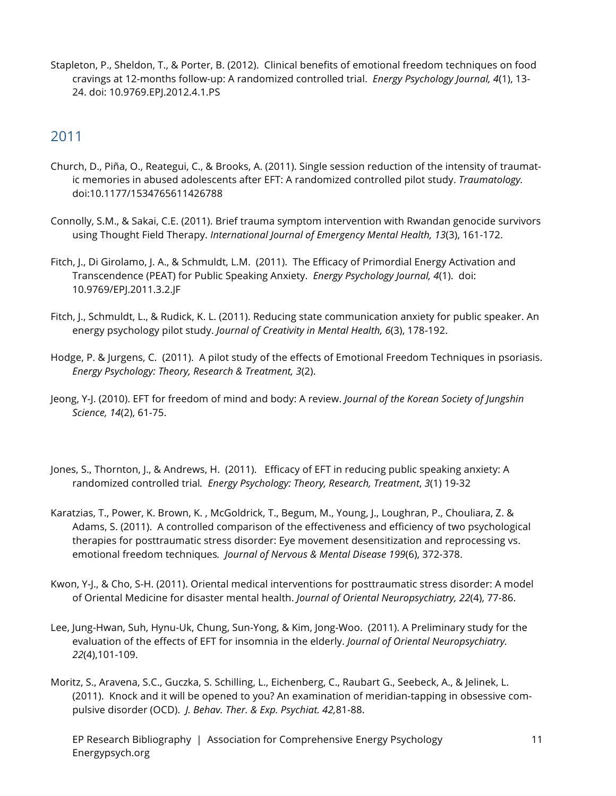Stapleton, P., Sheldon, T., & Porter, B. (2012). Clinical benefits of emotional freedom techniques on food cravings at 12-months follow-up: A randomized controlled trial. *Energy Psychology Journal, 4*(1), 13- 24. doi: 10.9769.EPJ.2012.4.1.PS

- Church, D., Piña, O., Reategui, C., & Brooks, A. (2011). Single session reduction of the intensity of traumatic memories in abused adolescents after EFT: A randomized controlled pilot study. *Traumatology.* doi:10.1177/1534765611426788
- Connolly, S.M., & Sakai, C.E. (2011). Brief trauma symptom intervention with Rwandan genocide survivors using Thought Field Therapy. *International Journal of Emergency Mental Health, 13*(3), 161-172.
- Fitch, J., Di Girolamo, J. A., & Schmuldt, L.M. (2011). The Efficacy of Primordial Energy Activation and Transcendence (PEAT) for Public Speaking Anxiety. *Energy Psychology Journal, 4*(1). doi: 10.9769/EPJ.2011.3.2.JF
- Fitch, J., Schmuldt, L., & Rudick, K. L. (2011). Reducing state communication anxiety for public speaker. An energy psychology pilot study. *Journal of Creativity in Mental Health, 6*(3), 178-192.
- Hodge, P. & Jurgens, C. (2011). A pilot study of the effects of Emotional Freedom Techniques in psoriasis. *Energy Psychology: Theory, Research & Treatment, 3*(2).
- Jeong, Y-J. (2010). EFT for freedom of mind and body: A review. *Journal of the Korean Society of Jungshin Science, 14*(2), 61-75.
- Jones, S., Thornton, J., & Andrews, H. (2011). Efficacy of EFT in reducing public speaking anxiety: A randomized controlled trial*. Energy Psychology: Theory, Research, Treatment*, *3*(1) 19-32
- Karatzias, T., Power, K. Brown, K. , McGoldrick, T., Begum, M., Young, J., Loughran, P., Chouliara, Z. & Adams, S. (2011). A controlled comparison of the effectiveness and efficiency of two psychological therapies for posttraumatic stress disorder: Eye movement desensitization and reprocessing vs. emotional freedom techniques*. Journal of Nervous & Mental Disease 199*(6), 372-378.
- Kwon, Y-J., & Cho, S-H. (2011). Oriental medical interventions for posttraumatic stress disorder: A model of Oriental Medicine for disaster mental health. *Journal of Oriental Neuropsychiatry, 22*(4), 77-86.
- Lee, Jung-Hwan, Suh, Hynu-Uk, Chung, Sun-Yong, & Kim, Jong-Woo. (2011). A Preliminary study for the evaluation of the effects of EFT for insomnia in the elderly. *Journal of Oriental Neuropsychiatry. 22*(4),101-109.
- Moritz, S., Aravena, S.C., Guczka, S. Schilling, L., Eichenberg, C., Raubart G., Seebeck, A., & Jelinek, L. (2011). Knock and it will be opened to you? An examination of meridian-tapping in obsessive compulsive disorder (OCD). *J. Behav. Ther. & Exp. Psychiat. 42,*81-88.
	- EP Research Bibliography | Association for Comprehensive Energy Psychology Energypsych.org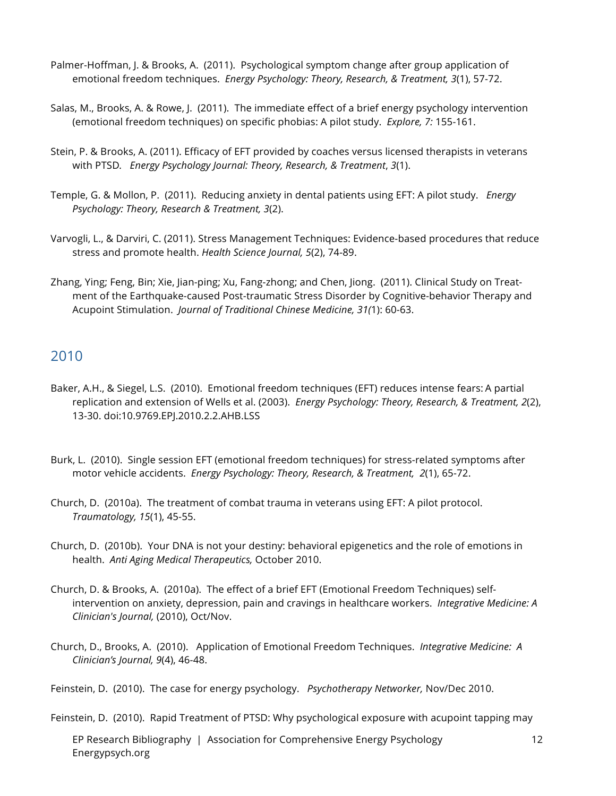- Palmer-Hoffman, J. & Brooks, A. (2011). Psychological symptom change after group application of emotional freedom techniques. *Energy Psychology: Theory, Research, & Treatment, 3*(1), 57-72.
- Salas, M., Brooks, A. & Rowe, J. (2011). The immediate effect of a brief energy psychology intervention (emotional freedom techniques) on specific phobias: A pilot study. *Explore, 7:* 155-161.
- Stein, P. & Brooks, A. (2011). Efficacy of EFT provided by coaches versus licensed therapists in veterans with PTSD*. Energy Psychology Journal: Theory, Research, & Treatment*, *3*(1).
- Temple, G. & Mollon, P. (2011). Reducing anxiety in dental patients using EFT: A pilot study. *Energy Psychology: Theory, Research & Treatment, 3*(2).
- Varvogli, L., & Darviri, C. (2011). Stress Management Techniques: Evidence-based procedures that reduce stress and promote health. *Health Science Journal, 5*(2), 74-89.
- Zhang, Ying; Feng, Bin; Xie, Jian-ping; Xu, Fang-zhong; and Chen, Jiong. (2011). Clinical Study on Treatment of the Earthquake-caused Post-traumatic Stress Disorder by Cognitive-behavior Therapy and Acupoint Stimulation. *Journal of Traditional Chinese Medicine, 31(*1): 60-63.

- Baker, A.H., & Siegel, L.S. (2010). Emotional freedom techniques (EFT) reduces intense fears: A partial replication and extension of Wells et al. (2003). *Energy Psychology: Theory, Research, & Treatment, 2*(2), 13-30. doi:10.9769.EPJ.2010.2.2.AHB.LSS
- Burk, L. (2010). Single session EFT (emotional freedom techniques) for stress-related symptoms after motor vehicle accidents. *Energy Psychology: Theory, Research, & Treatment, 2*(1), 65-72.
- Church, D. (2010a). The treatment of combat trauma in veterans using EFT: A pilot protocol. *Traumatology, 15*(1), 45-55.
- Church, D. (2010b). Your DNA is not your destiny: behavioral epigenetics and the role of emotions in health. *Anti Aging Medical Therapeutics,* October 2010.
- Church, D. & Brooks, A. (2010a). The effect of a brief EFT (Emotional Freedom Techniques) selfintervention on anxiety, depression, pain and cravings in healthcare workers. *Integrative Medicine: A Clinician's Journal,* (2010), Oct/Nov.
- Church, D., Brooks, A. (2010). Application of Emotional Freedom Techniques. *Integrative Medicine: A Clinician's Journal, 9*(4), 46-48.
- Feinstein, D. (2010). The case for energy psychology. *Psychotherapy Networker,* Nov/Dec 2010.

Feinstein, D. (2010). Rapid Treatment of PTSD: Why psychological exposure with acupoint tapping may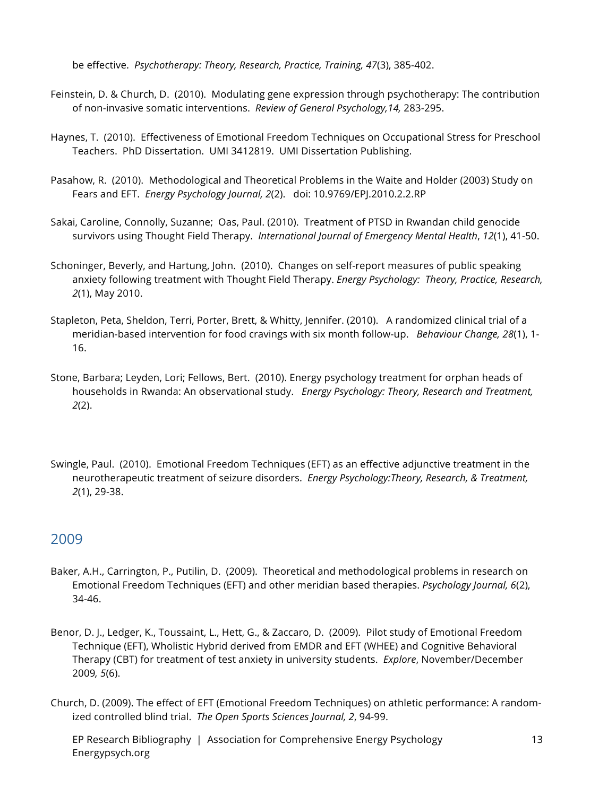be effective. *Psychotherapy: Theory, Research, Practice, Training, 47*(3), 385-402.

- Feinstein, D. & Church, D. (2010). Modulating gene expression through psychotherapy: The contribution of non-invasive somatic interventions. *Review of General Psychology,14,* 283-295.
- Haynes, T. (2010). Effectiveness of Emotional Freedom Techniques on Occupational Stress for Preschool Teachers. PhD Dissertation. UMI 3412819. UMI Dissertation Publishing.
- Pasahow, R. (2010). Methodological and Theoretical Problems in the Waite and Holder (2003) Study on Fears and EFT. *Energy Psychology Journal, 2*(2). doi: 10.9769/EPJ.2010.2.2.RP
- Sakai, Caroline, Connolly, Suzanne; Oas, Paul. (2010). Treatment of PTSD in Rwandan child genocide survivors using Thought Field Therapy. *International Journal of Emergency Mental Health*, *12*(1), 41-50.
- Schoninger, Beverly, and Hartung, John. (2010). Changes on self-report measures of public speaking anxiety following treatment with Thought Field Therapy. *Energy Psychology: Theory, Practice, Research, 2*(1), May 2010.
- Stapleton, Peta, Sheldon, Terri, Porter, Brett, & Whitty, Jennifer. (2010). A randomized clinical trial of a meridian-based intervention for food cravings with six month follow-up. *Behaviour Change, 28*(1), 1- 16.
- Stone, Barbara; Leyden, Lori; Fellows, Bert. (2010). Energy psychology treatment for orphan heads of households in Rwanda: An observational study. *Energy Psychology: Theory, Research and Treatment, 2*(2).
- Swingle, Paul. (2010). Emotional Freedom Techniques (EFT) as an effective adjunctive treatment in the neurotherapeutic treatment of seizure disorders. *Energy Psychology:Theory, Research, & Treatment, 2*(1), 29-38.

#### 2009

- Baker, A.H., Carrington, P., Putilin, D. (2009). Theoretical and methodological problems in research on Emotional Freedom Techniques (EFT) and other meridian based therapies. *Psychology Journal, 6*(2), 34-46.
- Benor, D. J., Ledger, K., Toussaint, L., Hett, G., & Zaccaro, D. (2009). Pilot study of Emotional Freedom Technique (EFT), Wholistic Hybrid derived from EMDR and EFT (WHEE) and Cognitive Behavioral Therapy (CBT) for treatment of test anxiety in university students. *Explore*, November/December 2009*, 5*(6).
- Church, D. (2009). The effect of EFT (Emotional Freedom Techniques) on athletic performance: A randomized controlled blind trial. *The Open Sports Sciences Journal, 2*, 94-99.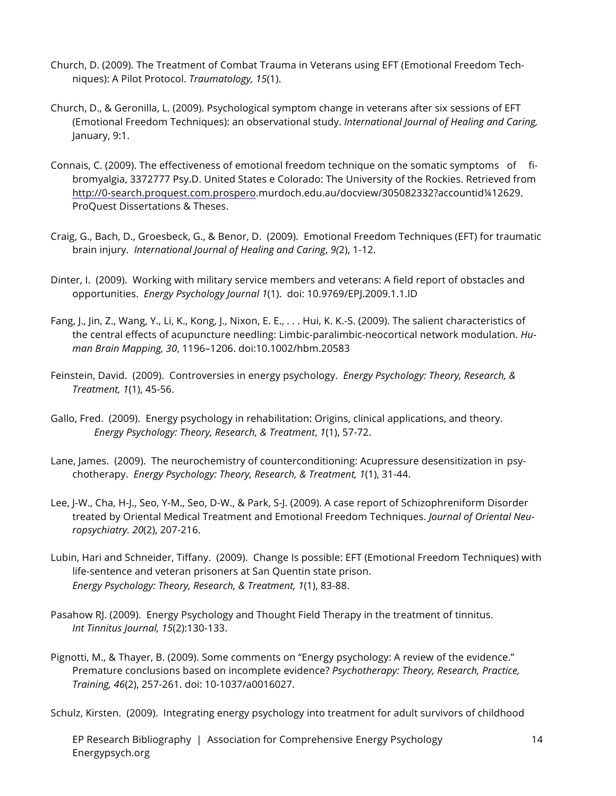- Church, D. (2009). The Treatment of Combat Trauma in Veterans using EFT (Emotional Freedom Techniques): A Pilot Protocol. *Traumatology, 15*(1).
- Church, D., & Geronilla, L. (2009). Psychological symptom change in veterans after six sessions of EFT (Emotional Freedom Techniques): an observational study. *International Journal of Healing and Caring,* January, 9:1.
- Connais, C. (2009). The effectiveness of emotional freedom technique on the somatic symptoms of fibromyalgia, 3372777 Psy.D. United States e Colorado: The University of the Rockies. Retrieved from http://0-search.proquest.com.prospero.murdoch.edu.au/docview/305082332?accountid¼12629. ProQuest Dissertations & Theses.
- Craig, G., Bach, D., Groesbeck, G., & Benor, D. (2009). Emotional Freedom Techniques (EFT) for traumatic brain injury. *International Journal of Healing and Caring*, *9(*2), 1-12.
- Dinter, I. (2009). Working with military service members and veterans: A field report of obstacles and opportunities. *Energy Psychology Journal 1*(1). doi: 10.9769/EPJ.2009.1.1.ID
- Fang, J., Jin, Z., Wang, Y., Li, K., Kong, J., Nixon, E. E., . . . Hui, K. K.-S. (2009). The salient characteristics of the central effects of acupuncture needling: Limbic-paralimbic-neocortical network modulation. *Human Brain Mapping, 30*, 1196–1206. doi:10.1002/hbm.20583
- Feinstein, David. (2009). Controversies in energy psychology. *Energy Psychology: Theory, Research, & Treatment, 1*(1), 45-56.
- Gallo, Fred. (2009). Energy psychology in rehabilitation: Origins, clinical applications, and theory. *Energy Psychology: Theory, Research, & Treatment*, *1*(1), 57-72.
- Lane, James. (2009). The neurochemistry of counterconditioning: Acupressure desensitization in psychotherapy. *Energy Psychology: Theory, Research, & Treatment, 1*(1), 31-44.
- Lee, J-W., Cha, H-J., Seo, Y-M., Seo, D-W., & Park, S-J. (2009). A case report of Schizophreniform Disorder treated by Oriental Medical Treatment and Emotional Freedom Techniques. *Journal of Oriental Neuropsychiatry. 20*(2), 207-216.
- Lubin, Hari and Schneider, Tiffany. (2009). Change Is possible: EFT (Emotional Freedom Techniques) with life-sentence and veteran prisoners at San Quentin state prison. *Energy Psychology: Theory, Research, & Treatment, 1*(1), 83-88.
- Pasahow RJ. (2009). Energy Psychology and Thought Field Therapy in the treatment of tinnitus. *Int Tinnitus Journal, 15*(2):130-133.
- Pignotti, M., & Thayer, B. (2009). Some comments on "Energy psychology: A review of the evidence." Premature conclusions based on incomplete evidence? *Psychotherapy: Theory, Research, Practice, Training, 46*(2), 257-261. doi: 10-1037/a0016027.

Schulz, Kirsten. (2009). Integrating energy psychology into treatment for adult survivors of childhood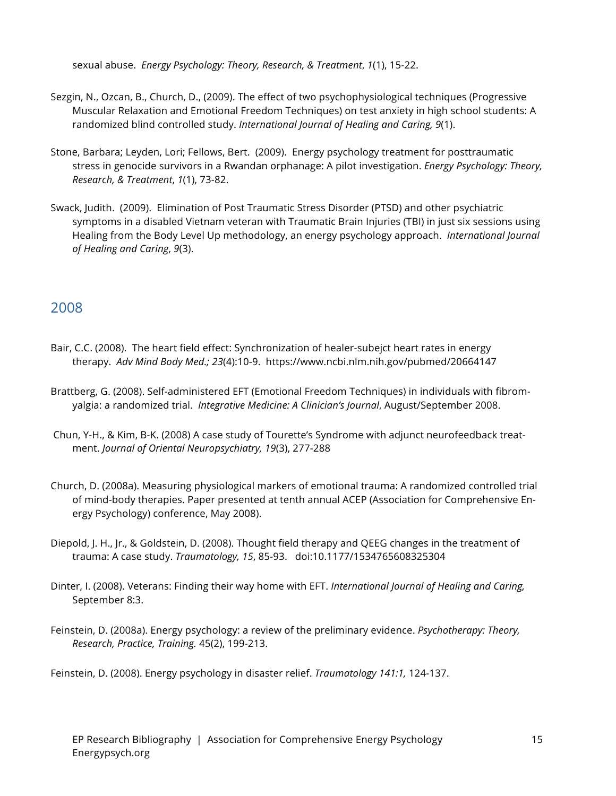sexual abuse. *Energy Psychology: Theory, Research, & Treatment*, *1*(1), 15-22.

- Sezgin, N., Ozcan, B., Church, D., (2009). The effect of two psychophysiological techniques (Progressive Muscular Relaxation and Emotional Freedom Techniques) on test anxiety in high school students: A randomized blind controlled study. *International Journal of Healing and Caring, 9*(1).
- Stone, Barbara; Leyden, Lori; Fellows, Bert. (2009). Energy psychology treatment for posttraumatic stress in genocide survivors in a Rwandan orphanage: A pilot investigation. *Energy Psychology: Theory, Research, & Treatment*, *1*(1), 73-82.
- Swack, Judith. (2009). Elimination of Post Traumatic Stress Disorder (PTSD) and other psychiatric symptoms in a disabled Vietnam veteran with Traumatic Brain Injuries (TBI) in just six sessions using Healing from the Body Level Up methodology, an energy psychology approach. *International Journal of Healing and Caring*, *9*(3).

## 2008

- Bair, C.C. (2008). The heart field effect: Synchronization of healer-subejct heart rates in energy therapy. *Adv Mind Body Med.; 23*(4):10-9. https://www.ncbi.nlm.nih.gov/pubmed/20664147
- Brattberg, G. (2008). Self-administered EFT (Emotional Freedom Techniques) in individuals with fibromyalgia: a randomized trial. *Integrative Medicine: A Clinician's Journal*, August/September 2008.
- Chun, Y-H., & Kim, B-K. (2008) A case study of Tourette's Syndrome with adjunct neurofeedback treatment. *Journal of Oriental Neuropsychiatry, 19*(3), 277-288
- Church, D. (2008a). Measuring physiological markers of emotional trauma: A randomized controlled trial of mind-body therapies. Paper presented at tenth annual ACEP (Association for Comprehensive Energy Psychology) conference, May 2008).
- Diepold, J. H., Jr., & Goldstein, D. (2008). Thought field therapy and QEEG changes in the treatment of trauma: A case study. *Traumatology, 15*, 85-93. doi:10.1177/1534765608325304
- Dinter, I. (2008). Veterans: Finding their way home with EFT. *International Journal of Healing and Caring,* September 8:3.
- Feinstein, D. (2008a). Energy psychology: a review of the preliminary evidence. *Psychotherapy: Theory, Research, Practice, Training.* 45(2), 199-213.

Feinstein, D. (2008). Energy psychology in disaster relief. *Traumatology 141:1,* 124-137.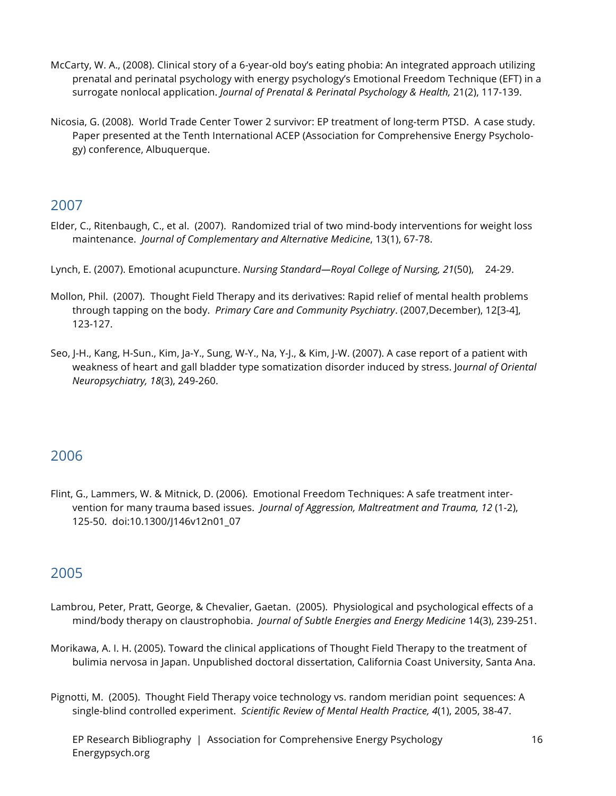- McCarty, W. A., (2008). Clinical story of a 6-year-old boy's eating phobia: An integrated approach utilizing prenatal and perinatal psychology with energy psychology's Emotional Freedom Technique (EFT) in a surrogate nonlocal application. *Journal of Prenatal & Perinatal Psychology & Health,* 21(2), 117-139.
- Nicosia, G. (2008). World Trade Center Tower 2 survivor: EP treatment of long-term PTSD. A case study. Paper presented at the Tenth International ACEP (Association for Comprehensive Energy Psychology) conference, Albuquerque.

- Elder, C., Ritenbaugh, C., et al. (2007). Randomized trial of two mind-body interventions for weight loss maintenance. *Journal of Complementary and Alternative Medicine*, 13(1), 67-78.
- Lynch, E. (2007). Emotional acupuncture. *Nursing Standard—Royal College of Nursing, 21*(50), 24-29.
- Mollon, Phil. (2007). Thought Field Therapy and its derivatives: Rapid relief of mental health problems through tapping on the body. *Primary Care and Community Psychiatry*. (2007,December), 12[3-4], 123-127.
- Seo, J-H., Kang, H-Sun., Kim, Ja-Y., Sung, W-Y., Na, Y-J., & Kim, J-W. (2007). A case report of a patient with weakness of heart and gall bladder type somatization disorder induced by stress. J*ournal of Oriental Neuropsychiatry, 18*(3), 249-260.

#### 2006

Flint, G., Lammers, W. & Mitnick, D. (2006). Emotional Freedom Techniques: A safe treatment intervention for many trauma based issues. *Journal of Aggression, Maltreatment and Trauma, 12* (1-2), 125-50. doi:10.1300/J146v12n01\_07

- Lambrou, Peter, Pratt, George, & Chevalier, Gaetan. (2005). Physiological and psychological effects of a mind/body therapy on claustrophobia. *Journal of Subtle Energies and Energy Medicine* 14(3), 239-251.
- Morikawa, A. I. H. (2005). Toward the clinical applications of Thought Field Therapy to the treatment of bulimia nervosa in Japan. Unpublished doctoral dissertation, California Coast University, Santa Ana.
- Pignotti, M. (2005). Thought Field Therapy voice technology vs. random meridian point sequences: A single-blind controlled experiment. *Scientific Review of Mental Health Practice, 4*(1), 2005, 38-47.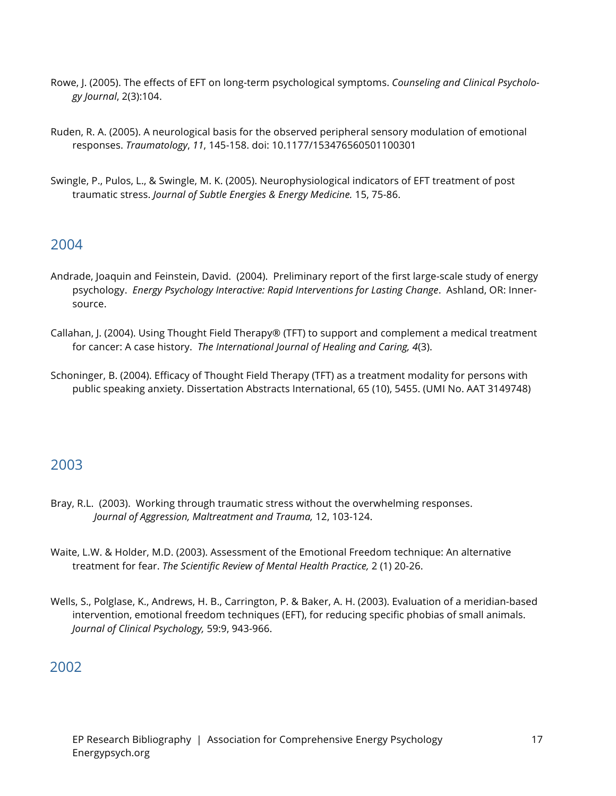- Rowe, J. (2005). The effects of EFT on long-term psychological symptoms. *Counseling and Clinical Psychology Journal*, 2(3):104.
- Ruden, R. A. (2005). A neurological basis for the observed peripheral sensory modulation of emotional responses. *Traumatology*, *11*, 145-158. doi: 10.1177/153476560501100301
- Swingle, P., Pulos, L., & Swingle, M. K. (2005). Neurophysiological indicators of EFT treatment of post traumatic stress. *Journal of Subtle Energies & Energy Medicine.* 15, 75-86.

- Andrade, Joaquin and Feinstein, David. (2004). Preliminary report of the first large-scale study of energy psychology. *Energy Psychology Interactive: Rapid Interventions for Lasting Change*. Ashland, OR: Innersource.
- Callahan, J. (2004). Using Thought Field Therapy® (TFT) to support and complement a medical treatment for cancer: A case history. *The International Journal of Healing and Caring, 4*(3).
- Schoninger, B. (2004). Efficacy of Thought Field Therapy (TFT) as a treatment modality for persons with public speaking anxiety. Dissertation Abstracts International, 65 (10), 5455. (UMI No. AAT 3149748)

### 2003

- Bray, R.L. (2003). Working through traumatic stress without the overwhelming responses. *Journal of Aggression, Maltreatment and Trauma,* 12, 103-124.
- Waite, L.W. & Holder, M.D. (2003). Assessment of the Emotional Freedom technique: An alternative treatment for fear. *The Scientific Review of Mental Health Practice,* 2 (1) 20-26.
- Wells, S., Polglase, K., Andrews, H. B., Carrington, P. & Baker, A. H. (2003). Evaluation of a meridian-based intervention, emotional freedom techniques (EFT), for reducing specific phobias of small animals. *Journal of Clinical Psychology,* 59:9, 943-966.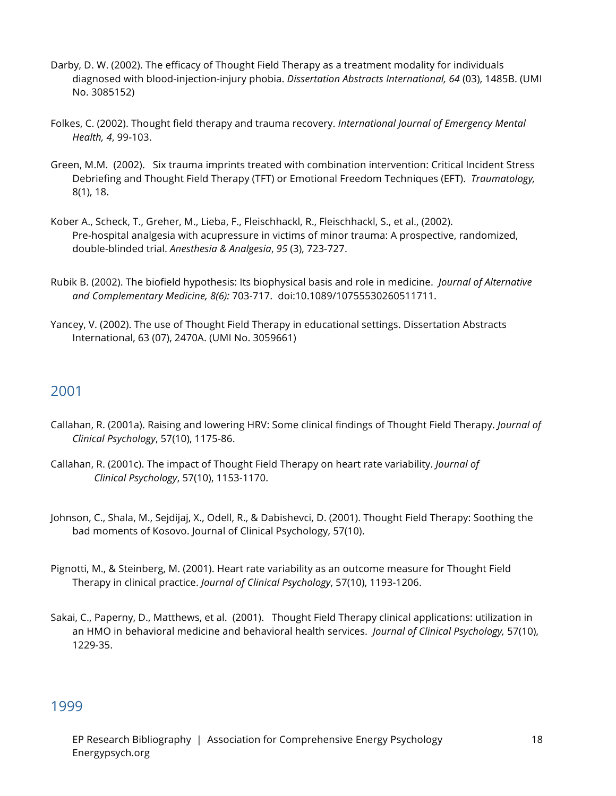- Darby, D. W. (2002). The efficacy of Thought Field Therapy as a treatment modality for individuals diagnosed with blood-injection-injury phobia. *Dissertation Abstracts International, 64* (03), 1485B. (UMI No. 3085152)
- Folkes, C. (2002). Thought field therapy and trauma recovery. *International Journal of Emergency Mental Health, 4*, 99-103.
- Green, M.M. (2002). Six trauma imprints treated with combination intervention: Critical Incident Stress Debriefing and Thought Field Therapy (TFT) or Emotional Freedom Techniques (EFT). *Traumatology,* 8(1), 18.
- Kober A., Scheck, T., Greher, M., Lieba, F., Fleischhackl, R., Fleischhackl, S., et al., (2002). Pre-hospital analgesia with acupressure in victims of minor trauma: A prospective, randomized, double-blinded trial. *Anesthesia & Analgesia*, *95* (3), 723-727.
- Rubik B. (2002). The biofield hypothesis: Its biophysical basis and role in medicine. *Journal of Alternative and Complementary Medicine, 8(6):* 703-717. doi:10.1089/10755530260511711.
- Yancey, V. (2002). The use of Thought Field Therapy in educational settings. Dissertation Abstracts International, 63 (07), 2470A. (UMI No. 3059661)

- Callahan, R. (2001a). Raising and lowering HRV: Some clinical findings of Thought Field Therapy. *Journal of Clinical Psychology*, 57(10), 1175-86.
- Callahan, R. (2001c). The impact of Thought Field Therapy on heart rate variability. *Journal of Clinical Psychology*, 57(10), 1153-1170.
- Johnson, C., Shala, M., Sejdijaj, X., Odell, R., & Dabishevci, D. (2001). Thought Field Therapy: Soothing the bad moments of Kosovo. Journal of Clinical Psychology, 57(10).
- Pignotti, M., & Steinberg, M. (2001). Heart rate variability as an outcome measure for Thought Field Therapy in clinical practice. *Journal of Clinical Psychology*, 57(10), 1193-1206.
- Sakai, C., Paperny, D., Matthews, et al. (2001). Thought Field Therapy clinical applications: utilization in an HMO in behavioral medicine and behavioral health services. *Journal of Clinical Psychology,* 57(10), 1229-35.